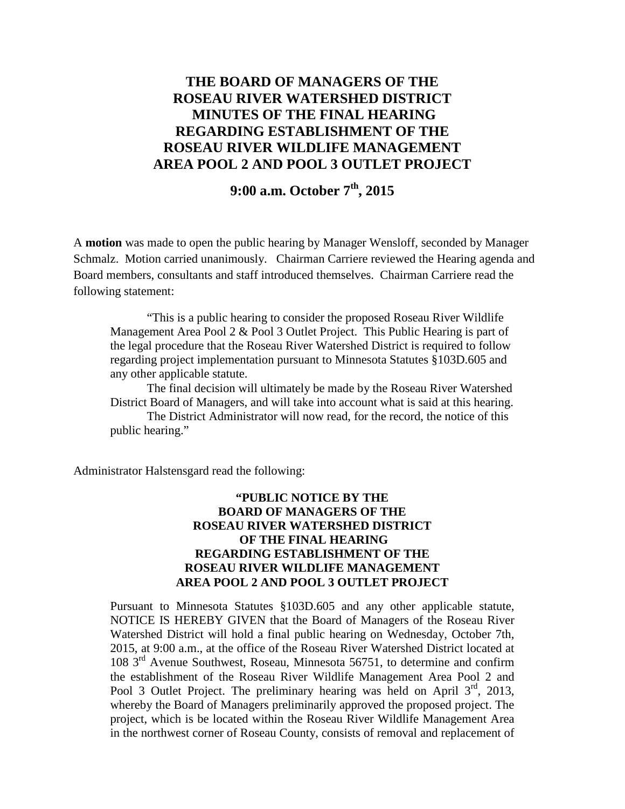## **THE BOARD OF MANAGERS OF THE ROSEAU RIVER WATERSHED DISTRICT MINUTES OF THE FINAL HEARING REGARDING ESTABLISHMENT OF THE ROSEAU RIVER WILDLIFE MANAGEMENT AREA POOL 2 AND POOL 3 OUTLET PROJECT**

# **9:00 a.m. October 7th, 2015**

A **motion** was made to open the public hearing by Manager Wensloff, seconded by Manager Schmalz. Motion carried unanimously. Chairman Carriere reviewed the Hearing agenda and Board members, consultants and staff introduced themselves. Chairman Carriere read the following statement:

"This is a public hearing to consider the proposed Roseau River Wildlife Management Area Pool 2 & Pool 3 Outlet Project. This Public Hearing is part of the legal procedure that the Roseau River Watershed District is required to follow regarding project implementation pursuant to Minnesota Statutes §103D.605 and any other applicable statute.

The final decision will ultimately be made by the Roseau River Watershed District Board of Managers, and will take into account what is said at this hearing.

The District Administrator will now read, for the record, the notice of this public hearing."

Administrator Halstensgard read the following:

#### **"PUBLIC NOTICE BY THE BOARD OF MANAGERS OF THE ROSEAU RIVER WATERSHED DISTRICT OF THE FINAL HEARING REGARDING ESTABLISHMENT OF THE ROSEAU RIVER WILDLIFE MANAGEMENT AREA POOL 2 AND POOL 3 OUTLET PROJECT**

Pursuant to Minnesota Statutes §103D.605 and any other applicable statute, NOTICE IS HEREBY GIVEN that the Board of Managers of the Roseau River Watershed District will hold a final public hearing on Wednesday, October 7th, 2015, at 9:00 a.m., at the office of the Roseau River Watershed District located at 108  $3<sup>rd</sup>$  Avenue Southwest, Roseau, Minnesota 56751, to determine and confirm the establishment of the Roseau River Wildlife Management Area Pool 2 and Pool 3 Outlet Project. The preliminary hearing was held on April  $3<sup>rd</sup>$ , 2013, whereby the Board of Managers preliminarily approved the proposed project. The project, which is be located within the Roseau River Wildlife Management Area in the northwest corner of Roseau County, consists of removal and replacement of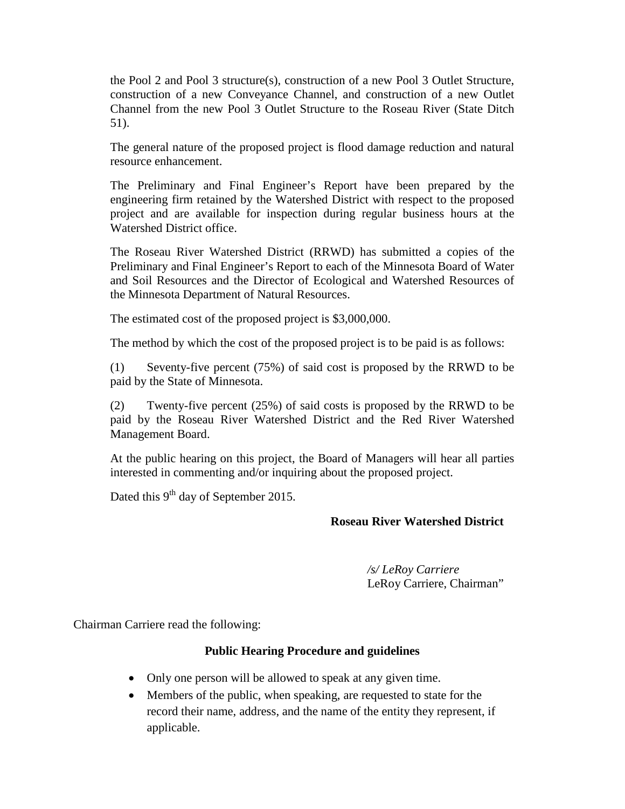the Pool 2 and Pool 3 structure(s), construction of a new Pool 3 Outlet Structure, construction of a new Conveyance Channel, and construction of a new Outlet Channel from the new Pool 3 Outlet Structure to the Roseau River (State Ditch 51).

The general nature of the proposed project is flood damage reduction and natural resource enhancement.

The Preliminary and Final Engineer's Report have been prepared by the engineering firm retained by the Watershed District with respect to the proposed project and are available for inspection during regular business hours at the Watershed District office.

The Roseau River Watershed District (RRWD) has submitted a copies of the Preliminary and Final Engineer's Report to each of the Minnesota Board of Water and Soil Resources and the Director of Ecological and Watershed Resources of the Minnesota Department of Natural Resources.

The estimated cost of the proposed project is \$3,000,000.

The method by which the cost of the proposed project is to be paid is as follows:

(1) Seventy-five percent (75%) of said cost is proposed by the RRWD to be paid by the State of Minnesota.

(2) Twenty-five percent (25%) of said costs is proposed by the RRWD to be paid by the Roseau River Watershed District and the Red River Watershed Management Board.

At the public hearing on this project, the Board of Managers will hear all parties interested in commenting and/or inquiring about the proposed project.

Dated this  $9<sup>th</sup>$  day of September 2015.

### **Roseau River Watershed District**

*/s/ LeRoy Carriere* LeRoy Carriere, Chairman"

Chairman Carriere read the following:

### **Public Hearing Procedure and guidelines**

- Only one person will be allowed to speak at any given time.
- Members of the public, when speaking, are requested to state for the record their name, address, and the name of the entity they represent, if applicable.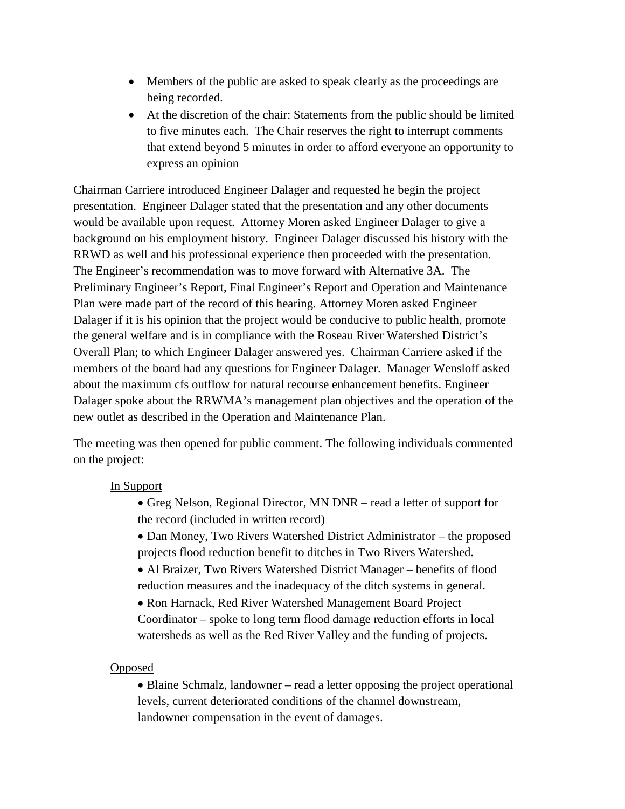- Members of the public are asked to speak clearly as the proceedings are being recorded.
- At the discretion of the chair: Statements from the public should be limited to five minutes each. The Chair reserves the right to interrupt comments that extend beyond 5 minutes in order to afford everyone an opportunity to express an opinion

Chairman Carriere introduced Engineer Dalager and requested he begin the project presentation. Engineer Dalager stated that the presentation and any other documents would be available upon request. Attorney Moren asked Engineer Dalager to give a background on his employment history. Engineer Dalager discussed his history with the RRWD as well and his professional experience then proceeded with the presentation. The Engineer's recommendation was to move forward with Alternative 3A. The Preliminary Engineer's Report, Final Engineer's Report and Operation and Maintenance Plan were made part of the record of this hearing. Attorney Moren asked Engineer Dalager if it is his opinion that the project would be conducive to public health, promote the general welfare and is in compliance with the Roseau River Watershed District's Overall Plan; to which Engineer Dalager answered yes. Chairman Carriere asked if the members of the board had any questions for Engineer Dalager. Manager Wensloff asked about the maximum cfs outflow for natural recourse enhancement benefits. Engineer Dalager spoke about the RRWMA's management plan objectives and the operation of the new outlet as described in the Operation and Maintenance Plan.

The meeting was then opened for public comment. The following individuals commented on the project:

### In Support

- Greg Nelson, Regional Director, MN DNR read a letter of support for the record (included in written record)
- Dan Money, Two Rivers Watershed District Administrator the proposed projects flood reduction benefit to ditches in Two Rivers Watershed.
- Al Braizer, Two Rivers Watershed District Manager benefits of flood reduction measures and the inadequacy of the ditch systems in general.
- Ron Harnack, Red River Watershed Management Board Project Coordinator – spoke to long term flood damage reduction efforts in local watersheds as well as the Red River Valley and the funding of projects.

### **Opposed**

• Blaine Schmalz, landowner – read a letter opposing the project operational levels, current deteriorated conditions of the channel downstream, landowner compensation in the event of damages.